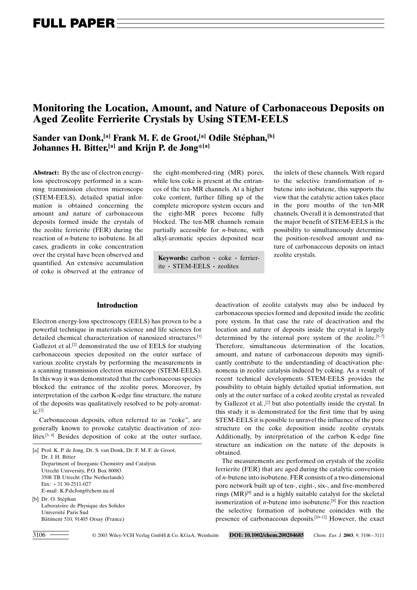# Monitoring the Location, Amount, and Nature of Carbonaceous Deposits on Aged Zeolite Ferrierite Crystals by Using STEM-EELS

## Sander van Donk,<sup>[a]</sup> Frank M. F. de Groot,<sup>[a]</sup> Odile Stéphan,<sup>[b]</sup> Johannes H. Bitter, [a] and Krijn P. de Jong\*[a]

Abstract: By the use of electron energyloss spectroscopy performed in a scanning transmission electron microscope (STEM-EELS), detailed spatial information is obtained concerning the amount and nature of carbonaceous deposits formed inside the crystals of the zeolite ferrierite (FER) during the reaction of n-butene to isobutene. In all cases, gradients in coke concentration over the crystal have been observed and quantified. An extensive accumulation of coke is observed at the entrance of

the eight-membered-ring (MR) pores, while less coke is present at the entrances of the ten-MRchannels. At a higher coke content, further filling up of the complete micropore system occurs and the eight-MR pores become fully blocked. The ten-MR channels remain partially accessible for  $n$ -butene, with alkyl-aromatic species deposited near

**Keywords:** carbon  $\cdot$  coke  $\cdot$  ferrier-<br>**Keywords:** carbon  $\cdot$  coke  $\cdot$  ferrierite • STEM-EELS • zeolites

the inlets of these channels. With regard to the selective transformation of  $n$ butene into isobutene, this supports the view that the catalytic action takes place in the pore mouths of the ten-MR channels. Overall it is demonstrated that the major benefit of STEM-EELS is the possibility to simultaneously determine the position-resolved amount and nature of carbonaceous deposits on intact

## **Introduction**

Electron energy-loss spectroscopy (EELS) has proven to be a powerful technique in materials science and life sciences for detailed chemical characterization of nanosized structures.[1] Gallezot et al.<sup>[2]</sup> demonstrated the use of EELS for studying carbonaceous species deposited on the outer surface of various zeolite crystals by performing the measurements in a scanning transmission electron microscope (STEM-EELS). In this way it was demonstrated that the carbonaceous species blocked the entrance of the zeolite pores. Moreover, by interpretation of the carbon K-edge fine structure, the nature of the deposits was qualitatively resolved to be poly-aromatic. $[2]$ 

Carbonaceous deposits, often referred to as "coke", are generally known to provoke catalytic deactivation of zeolites.<sup>[3, 4]</sup> Besides deposition of coke at the outer surface, deactivation of zeolite catalysts may also be induced by carbonaceous species formed and deposited inside the zeolitic pore system. In that case the rate of deactivation and the location and nature of deposits inside the crystal is largely determined by the internal pore system of the zeolite.<sup>[5-7]</sup> Therefore, simultaneous determination of the location, amount, and nature of carbonaceous deposits may significantly contribute to the understanding of deactivation phenomena in zeolite catalysis induced by coking. As a result of recent technical developments STEM-EELS provides the possibility to obtain highly detailed spatial information, not only at the outer surface of a coked zeolite crystal as revealed by Gallezot et al.,<sup>[2]</sup> but also potentially inside the crystal. In this study it is demonstrated for the first time that by using STEM-EELS it is possible to unravel the influence of the pore structure on the coke deposition inside zeolite crystals. Additionally, by interpretation of the carbon K-edge fine structure an indication on the nature of the deposits is obtained.

The measurements are performed on crystals of the zeolite ferrierite (FER) that are aged during the catalytic conversion of  $n$ -butene into isobutene. FER consists of a two-dimensional pore network built up of ten-, eight-, six-, and five-membered rings  $(MR)^{8}$  and is a highly suitable catalyst for the skeletal isomerization of *n*-butene into isobutene.<sup>[9]</sup> For this reaction the selective formation of isobutene coincides with the presence of carbonaceous deposits.<sup>[10-12]</sup> However, the exact

<sup>[</sup>a] Prof. K. P. de Jong, Dr. S. van Donk, Dr. F. M. F. de Groot, Dr. J. H. Bitter Department of Inorganic Chemistry and Catalysis Utrecht University, P.O. Box 80083 3508 TB Utrecht (The Netherlands)  $Fax: +31 30-2511-027$ E-mail: K.P.deJong@chem.uu.nl [b] Dr. O. Stéphan Laboratoire de Physique des Solides Université Paris Sud Bâtiment 510, 91405 Orsay (France)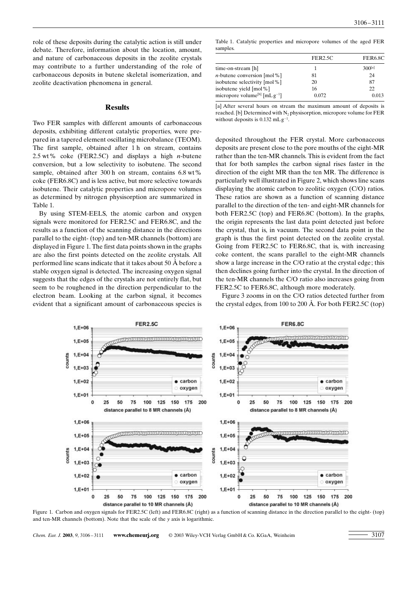role of these deposits during the catalytic action is still under debate. Therefore, information about the location, amount, and nature of carbonaceous deposits in the zeolite crystals may contribute to a further understanding of the role of carbonaceous deposits in butene skeletal isomerization, and zeolite deactivation phenomena in general.

#### **Results**

Two FER samples with different amounts of carbonaceous deposits, exhibiting different catalytic properties, were prepared in a tapered element oscillating microbalance (TEOM). The first sample, obtained after 1 h on stream, contains 2.5 wt% coke (FER2.5C) and displays a high *n*-butene conversion, but a low selectivity to isobutene. The second sample, obtained after 300 h on stream, contains 6.8 wt% coke (FER6.8C) and is less active, but more selective towards isobutene. Their catalytic properties and micropore volumes as determined by nitrogen physisorption are summarized in Table 1.

By using STEM-EELS, the atomic carbon and oxygen signals were monitored for FER2.5C and FER6.8C, and the results as a function of the scanning distance in the directions parallel to the eight- (top) and ten-MRchannels (bottom) are displayed in Figure 1. The first data points shown in the graphs are also the first points detected on the zeolite crystals. All performed line scans indicate that it takes about 50 Å before a stable oxygen signal is detected. The increasing oxygen signal suggests that the edges of the crystals are not entirely flat, but seem to be roughened in the direction perpendicular to the electron beam. Looking at the carbon signal, it becomes evident that a significant amount of carbonaceous species is

Table 1. Catalytic properties and micropore volumes of the aged FER samples.

|                                                     | FER <sub>2.5</sub> C | FER6.8C     |
|-----------------------------------------------------|----------------------|-------------|
| time-on-stream [h]                                  |                      | $300^{[a]}$ |
| <i>n</i> -butene conversion $\lceil \text{mol } \%$ | 81                   | 24          |
| isobutene selectivity [mol%]                        | 20                   | 87          |
| isobutene yield [mol%]                              | 16                   | 22          |
| micropore volume <sup>[b]</sup> $[mLg^{-1}]$        | 0.072                | 0.013       |

[a] After several hours on stream the maximum amount of deposits is reached. [b] Determined with  $N_2$  physisorption, micropore volume for FER without deposits is  $0.132 \text{ mL g}^{-1}$ .

deposited throughout the FER crystal. More carbonaceous deposits are present close to the pore mouths of the eight-MR rather than the ten-MR channels. This is evident from the fact that for both samples the carbon signal rises faster in the direction of the eight MR than the ten MR. The difference is particularly well illustrated in Figure 2, which shows line scans displaying the atomic carbon to zeolitic oxygen (C/O) ratios. These ratios are shown as a function of scanning distance parallel to the direction of the ten- and eight-MRchannels for both FER2.5C (top) and FER6.8C (bottom). In the graphs, the origin represents the last data point detected just before the crystal, that is, in vacuum. The second data point in the graph is thus the first point detected on the zeolite crystal. Going from FER2.5C to FER6.8C, that is, with increasing coke content, the scans parallel to the eight-MR channels show a large increase in the C/O ratio at the crystal edge; this then declines going further into the crystal. In the direction of the ten-MRchannels the C/O ratio also increases going from FER2.5C to FER6.8C, although more moderately.

Figure 3 zooms in on the C/O ratios detected further from the crystal edges, from 100 to 200 ä. For both FER2.5C (top)



Figure 1. Carbon and oxygen signals for FER2.5C (left) and FER6.8C (right) as a function of scanning distance in the direction parallel to the eight- (top) and ten-MR channels (bottom). Note that the scale of the  $y$  axis is logarithmic.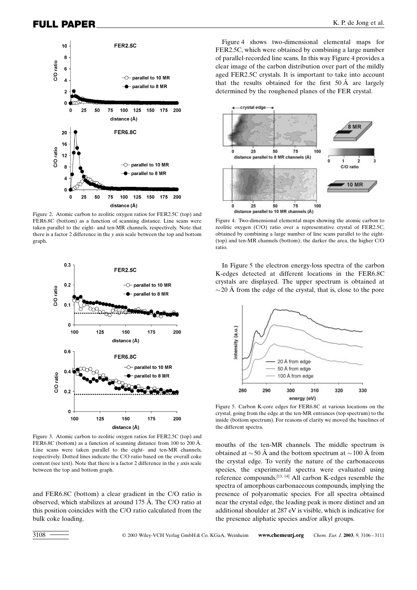

Figure 2. Atomic carbon to zeolitic oxygen ratios for FER2.5C (top) and FER6.8C (bottom) as a function of scanning distance. Line scans were taken parallel to the eight- and ten-MR channels, respectively. Note that there is a factor 2 difference in the y axis scale between the top and bottom graph.



Figure 3. Atomic carbon to zeolitic oxygen ratios for FER2.5C (top) and FER6.8C (bottom) as a function of scanning distance from 100 to 200 Å. Line scans were taken parallel to the eight- and ten-MR channels, respectively. Dotted lines indicate the C/O ratio based on the overall coke content (see text). Note that there is a factor 2 difference in the y axis scale between the top and bottom graph.

and FER6.8C (bottom) a clear gradient in the C/O ratio is observed, which stabilizes at around 175 ä. The C/O ratio at this position coincides with the C/O ratio calculated from the bulk coke loading.

Figure 4 shows two-dimensional elemental maps for FER2.5C, which were obtained by combining a large number of parallel-recorded line scans. In this way Figure 4 provides a clear image of the carbon distribution over part of the mildly aged FER2.5C crystals. It is important to take into account that the results obtained for the first  $50 \text{ Å}$  are largely determined by the roughened planes of the FER crystal.



Figure 4. Two-dimensional elemental maps showing the atomic carbon to zeolitic oxygen (C/O) ratio over a representative crystal of FER2.5C, obtained by combining a large number of line scans parallel to the eight- (top) and ten-MRchannels (bottom); the darker the area, the higher C/O ratio.

In Figure 5 the electron energy-loss spectra of the carbon K-edges detected at different locations in the FER6.8C crystals are displayed. The upper spectrum is obtained at  $\sim$  20 Å from the edge of the crystal, that is, close to the pore



Figure 5. Carbon K-core edges for FER6.8C at various locations on the crystal, going from the edge at the ten-MRentrances (top spectrum) to the inside (bottom spectrum). For reasons of clarity we moved the baselines of the different spectra.

mouths of the ten-MR channels. The middle spectrum is obtained at  $\sim$  50 Å and the bottom spectrum at  $\sim$  100 Å from the crystal edge. To verify the nature of the carbonaceous species, the experimental spectra were evaluated using reference compounds.[13, 14] All carbon K-edges resemble the spectra of amorphous carbonaceous compounds, implying the presence of polyaromatic species. For all spectra obtained near the crystal edge, the leading peak is more distinct and an additional shoulder at 287 eV is visible, which is indicative for the presence aliphatic species and/or alkyl groups.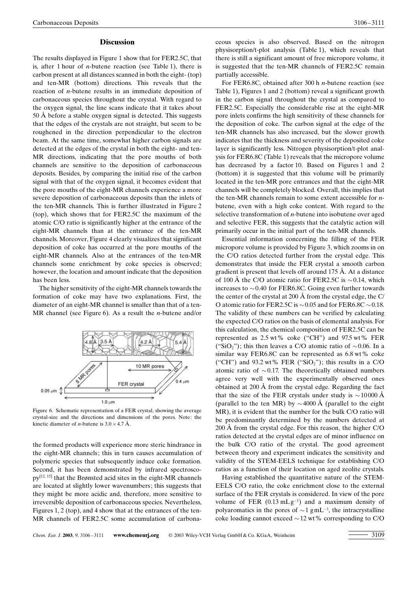#### **Discussion**

The results displayed in Figure 1 show that for FER2.5C, that is, after 1 hour of n-butene reaction (see Table 1), there is carbon present at all distances scanned in both the eight- (top) and ten-MR(bottom) directions. This reveals that the reaction of n-butene results in an immediate deposition of carbonaceous species throughout the crystal. With regard to the oxygen signal, the line scans indicate that it takes about 50 ä before a stable oxygen signal is detected. This suggests that the edges of the crystals are not straight, but seem to be roughened in the direction perpendicular to the electron beam. At the same time, somewhat higher carbon signals are detected at the edges of the crystal in both the eight- and ten-MR directions, indicating that the pore mouths of both channels are sensitive to the deposition of carbonaceous deposits. Besides, by comparing the initial rise of the carbon signal with that of the oxygen signal, it becomes evident that the pore mouths of the eight-MR channels experience a more severe deposition of carbonaceous deposits than the inlets of the ten-MR channels. This is further illustrated in Figure 2 (top), which shows that for FER2.5C the maximum of the atomic C/O ratio is significantly higher at the entrance of the eight-MR channels than at the entrance of the ten-MR channels. Moreover, Figure 4 clearly visualizes that significant deposition of coke has occurred at the pore mouths of the eight-MRchannels. Also at the entrances of the ten-MR channels some enrichment by coke species is observed; however, the location and amount indicate that the deposition has been less.

The higher sensitivity of the eight-MRchannels towards the formation of coke may have two explanations. First, the diameter of an eight-MRchannel is smaller than that of a ten-MR channel (see Figure 6). As a result the *n*-butene and/or



Figure 6. Schematic representation of a FER crystal, showing the average crystal-size and the directions and dimensions of the pores. Note: the kinetic diameter of *n*-butene is  $3.0 \times 4.7$  Å.

the formed products will experience more steric hindrance in the eight-MR channels; this in turn causes accumulation of polymeric species that subsequently induce coke formation. Second, it has been demonstrated by infrared spectrosco $py^{[12, 15]}$  that the Brønsted acid sites in the eight-MR channels are located at slightly lower wavenumbers; this suggests that they might be more acidic and, therefore, more sensitive to irreversible deposition of carbonaceous species. Nevertheless, Figures 1, 2 (top), and 4 show that at the entrances of the ten-MR channels of FER2.5C some accumulation of carbonaceous species is also observed. Based on the nitrogen physisorption/t-plot analysis (Table 1), which reveals that there is still a significant amount of free micropore volume, it is suggested that the ten-MR channels of FER2.5C remain partially accessible.

For FER6.8C, obtained after 300 h n-butene reaction (see Table 1), Figures 1 and 2 (bottom) reveal a significant growth in the carbon signal throughout the crystal as compared to FER2.5C. Especially the considerable rise at the eight-MR pore inlets confirms the high sensitivity of these channels for the deposition of coke. The carbon signal at the edge of the ten-MRchannels has also increased, but the slower growth indicates that the thickness and severity of the deposited coke layer is significantly less. Nitrogen physisorption/t-plot analysis for FER6.8C (Table 1) reveals that the micropore volume has decreased by a factor 10. Based on Figures 1 and 2 (bottom) it is suggested that this volume will be primarily located in the ten-MR pore entrances and that the eight-MR channels will be completely blocked. Overall, this implies that the ten-MR channels remain to some extent accessible for  $n$ butene, even with a high coke content. With regard to the selective transformation of  $n$ -butene into isobutene over aged and selective FER, this suggests that the catalytic action will primarily occur in the initial part of the ten-MRchannels.

Essential information concerning the filling of the FER micropore volume is provided by Figure 3, which zooms in on the C/O ratios detected further from the crystal edge. This demonstrates that inside the FER crystal a smooth carbon gradient is present that levels off around  $175 \text{ Å}$ . At a distance of 100 Å the C/O atomic ratio for FER2.5C is  $\sim$  0.14, which increases to  $\sim 0.40$  for FER6.8C. Going even further towards the center of the crystal at 200  $\AA$  from the crystal edge, the C/ O atomic ratio for FER2.5C is  $\sim 0.05$  and for FER6.8C  $\sim 0.18$ . The validity of these numbers can be verified by calculating the expected C/O ratios on the basis of elemental analysis. For this calculation, the chemical composition of FER2.5C can be represented as  $2.5$  wt% coke ("CH") and  $97.5$  wt% FER ("SiO<sub>2</sub>"); this then leaves a C/O atomic ratio of  $\sim 0.06$ . In a similar way FER6.8C can be represented as 6.8 wt% coke ("CH") and 93.2 wt% FER ("SiO<sub>2</sub>"); this results in a C/O atomic ratio of  $\sim 0.17$ . The theoretically obtained numbers agree very well with the experimentally observed ones obtained at 200 ä from the crystal edge. Regarding the fact that the size of the FER crystals under study is  $\sim 10000 \text{ Å}$ (parallel to the ten MR) by  $\sim$  4000 Å (parallel to the eight MR), it is evident that the number for the bulk C/O ratio will be predominantly determined by the numbers detected at 200 ä from the crystal edge. For this reason, the higher C/O ratios detected at the crystal edges are of minor influence on the bulk C/O ratio of the crystal. The good agreement between theory and experiment indicates the sensitivity and validity of the STEM-EELS technique for establishing C/O ratios as a function of their location on aged zeolite crystals.

Having established the quantitative nature of the STEM-EELS C/O ratio, the coke enrichment close to the external surface of the FER crystals is considered. In view of the pore volume of FER  $(0.13 \text{ mL g}^{-1})$  and a maximum density of polyaromatics in the pores of  $\sim 1$  gmL<sup>-1</sup>, the intracrystalline coke loading cannot exceed  $\sim$  12 wt% corresponding to C/O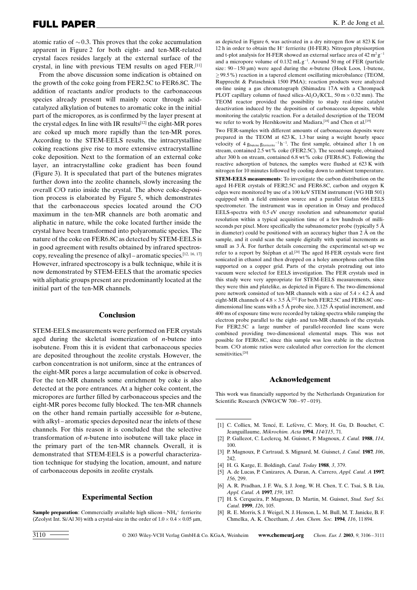atomic ratio of  $\sim$  0.3. This proves that the coke accumulation apparent in Figure 2 for both eight- and ten-MR-related crystal faces resides largely at the external surface of the crystal, in line with previous TEM results on aged FER.[11]

From the above discussion some indication is obtained on the growth of the coke going from FER2.5C to FER6.8C. The addition of reactants and/or products to the carbonaceous species already present will mainly occur through acidcatalyzed alkylation of butenes to aromatic coke in the initial part of the micropores, as is confirmed by the layer present at the crystal edges. In line with IR results $[12]$  the eight-MR pores are coked up much more rapidly than the ten-MR pores. According to the STEM-EELS results, the intracrystalline coking reactions give rise to more extensive extracrystalline coke deposition. Next to the formation of an external coke layer, an intracrystalline coke gradient has been found (Figure 3). It is speculated that part of the butenes migrates further down into the zeolite channels, slowly increasing the overall C/O ratio inside the crystal. The above coke-deposition process is elaborated by Figure 5, which demonstrates that the carbonaceous species located around the C/O maximum in the ten-MR channels are both aromatic and aliphatic in nature, while the coke located further inside the crystal have been transformed into polyaromatic species. The nature of the coke on FER6.8C as detected by STEM-EELS is in good agreement with results obtained by infrared spectroscopy, revealing the presence of alkyl – aromatic species.<sup>[12, 16, 17]</sup> However, infrared spectroscopy is a bulk technique, while it is now demonstrated by STEM-EELS that the aromatic species with aliphatic groups present are predominantly located at the initial part of the ten-MR channels.

#### Conclusion

STEM-EELS measurements were performed on FER crystals aged during the skeletal isomerization of  $n$ -butene into isobutene. From this it is evident that carbonaceous species are deposited throughout the zeolite crystals. However, the carbon concentration is not uniform, since at the entrances of the eight-MR pores a large accumulation of coke is observed. For the ten-MR channels some enrichment by coke is also detected at the pore entrances. At a higher coke content, the micropores are further filled by carbonaceous species and the eight-MR pores become fully blocked. The ten-MR channels on the other hand remain partially accessible for n-butene, with alkyl – aromatic species deposited near the inlets of these channels. For this reason it is concluded that the selective transformation of n-butene into isobutene will take place in the primary part of the ten-MR channels. Overall, it is demonstrated that STEM-EELS is a powerful characterization technique for studying the location, amount, and nature of carbonaceous deposits in zeolite crystals.

#### Experimental Section

**Sample preparation:** Commercially available high silicon $-NH_4$ <sup>+</sup> ferrierite (Zeolyst Int. Si/Al 30) with a crystal-size in the order of  $1.0 \times 0.4 \times 0.05$  µm, as depicted in Figure 6, was activated in a dry nitrogen flow at 823 K for 12 h in order to obtain the H<sup>+</sup> ferrierite (H-FER). Nitrogen physisorption and t-plot analysis for H-FER showed an external surface area of 42  $m^2g^{-1}$ and a micropore volume of  $0.132 \text{ mL} \text{g}^{-1}$ . Around 50 mg of FER (particle size:  $90 - 150 \mu m$ ) were aged during the *n*-butene (Hoek Loos, 1-butene, 99.5%) reaction in a tapered element oscillating microbalance (TEOM, Rupprecht & Pataschnick 1500 PMA); reaction products were analyzed on-line using a gas chromatograph (Shimadzu 17A with a Chrompack PLOT capillary column of fused silica-Al<sub>2</sub>O<sub>3</sub>/KCL, 50 m  $\times$  0.32 mm). The TEOM reactor provided the possibility to study real-time catalyst deactivation induced by the deposition of carbonaceous deposits, while monitoring the catalytic reaction. For a detailed description of the TEOM we refer to work by Hershkowitz and Madiara,<sup>[18]</sup> and Chen et al.<sup>[19]</sup>

Two FER-samples with different amounts of carbonaceous deposits were prepared in the TEOM at 623 K, 1.3 bar using a weight hourly space velocity of  $4 g_{\text{butene}} g_{\text{ferriente}}^{-1} h^{-1}$ . The first sample, obtained after 1 h on stream, contained 2.5 wt% coke (FER2.5C). The second sample, obtained after 300 h on stream, contained 6.8 wt% coke (FER6.8C). Following the reactive adsorption of butenes, the samples were flushed at 623 K with nitrogen for 10 minutes followed by cooling down to ambient temperature.

STEM-EELS measurements: To investigate the carbon distribution on the aged H-FER crystals of FER2.5C and FER6.8C, carbon and oxygen K edges were monitored by use of a 100 keV STEM instrument (VG HB 501) equipped with a field emission source and a parallel Gatan 666 EELS spectrometer. The instrument was in operation in Orsay and produced EELS-spectra with 0.5 eV energy resolution and subnanometer spatial resolution within a typical acquisition time of a few hundreds of milliseconds per pixel. More specifically the subnanometer probe (typically 5 Å in diameter) could be positioned with an accuracy higher than  $2 \text{ Å}$  on the sample, and it could scan the sample digitally with spatial increments as small as  $3 \text{ Å}$ . For further details concerning the experimental set-up we refer to a report by Stéphan et al.<sup>[20]</sup> The aged H-FER crystals were first sonicated in ethanol and then dropped on a holey amorphous carbon film supported on a copper grid. Parts of the crystals protruding out into vacuum were selected for EELS investigation. The FER crystals used in this study were very appropriate for STEM-EELS measurements, since they were thin and platelike, as depicted in Figure 6. The two-dimensional pore network consisted of ten-MR channels with a size of  $5.4 \times 4.2$  Å and eight-MR channels of  $4.8 \times 3.5$  Å.<sup>[21]</sup> For both FER2.5C and FER6.8C onedimensional line scans with a 5 Å probe size, 3.125 Å spatial increment, and 400 ms of exposure time were recorded by taking spectra while ramping the electron probe parallel to the eight- and ten-MR channels of the crystals. For FER2.5C a large number of parallel-recorded line scans were combined providing two-dimensional elemental maps. This was not possible for FER6.8C, since this sample was less stable in the electron beam. C/O atomic ratios were calculated after correction for the element sensitivities.<sup>[20]</sup>

## Acknowledgement

This work was financially supported by the Netherlands Organization for Scientific Research (NWO/CW 700-97-019).

- [1] C. Colliex, M. Tencé, E. Lefèvre, C. Mory, H. Gu, D. Bouchet, C. Jeanguillaume, Mikrochim. Acta 1994, 114/115, 71.
- [2] P. Gallezot, C. Leclercq, M. Guisnet, P. Magnoux, J. Catal. 1988, 114, 100.
- [3] P. Magnoux, P. Cartraud, S. Mignard, M. Guisnet, J. Catal. 1987, 106,  $242.$
- [4] H. G. Karge, E. Boldingh, Catal. Today 1988, 3, 379.
- [5] A. de Lucas, P. Canizares, A. Duran, A. Carrero, Appl. Catal. A 1997, 156, 299.
- [6] A. R. Pradhan, J. F. Wu, S. J. Jong, W. H. Chen, T. C. Tsai, S. B. Liu, Appl. Catal. A 1997, 159, 187.
- [7] H. S. Cerqueira, P. Magnoux, D. Martin, M. Guisnet, Stud. Surf. Sci. Catal. 1999, 126, 105.
- [8] R. E. Morris, S. J. Weigel, N. J. Henson, L. M. Bull, M. T. Janicke, B. F. Chmelka, A. K. Cheetham, J. Am. Chem. Soc. 1994, 116, 11 894.

3110  $\longrightarrow$  © 2003 Wiley-VCH Verlag GmbH & Co. KGaA, Weinheim www.chemeuri.org Chem. Eur. J. 2003. 9, 3106-3111